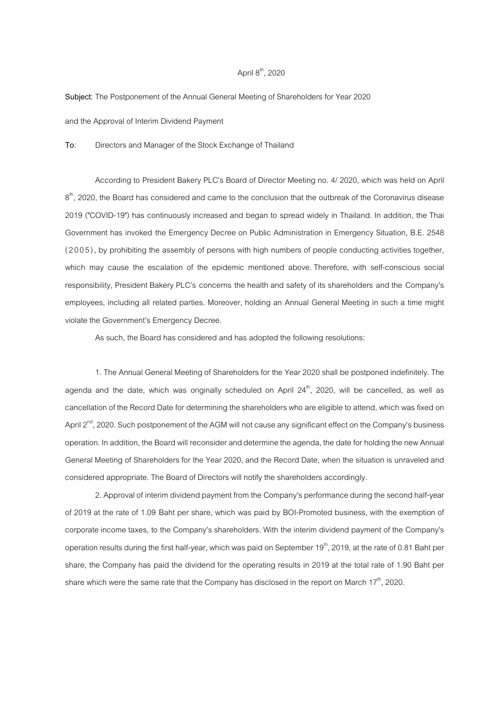## April  $8<sup>th</sup>$ , 2020

Subject: The Postponement of the Annual General Meeting of Shareholders for Year 2020

and the Approval of Interim Dividend Payment

To: Directors and Manager of the Stock Exchange of Thailand

 According to President Bakery PLC)s Board of Director Meeting no. 4/ 2020, which was held on April  $8^{\text{th}}$ , 2020, the Board has considered and came to the conclusion that the outbreak of the Coronavirus disease 2019 ("COVID-19") has continuously increased and began to spread widely in Thailand. In addition, the Thai Government has invoked the Emergency Decree on Public Administration in Emergency Situation, B.E. 2548 ( 2 0 0 5), by prohibiting the assembly of persons with high numbers of people conducting activities together, which may cause the escalation of the epidemic mentioned above. Therefore, with self-conscious social responsibility, President Bakery PLC's concerns the health and safety of its shareholders and the Company's employees, including all related parties. Moreover, holding an Annual General Meeting in such a time might violate the Government's Emergency Decree.

As such, the Board has considered and has adopted the following resolutions:

1. The Annual General Meeting of Shareholders for the Year 2020 shall be postponed indefinitely. The agenda and the date, which was originally scheduled on April  $24<sup>th</sup>$ , 2020, will be cancelled, as well as cancellation of the Record Date for determining the shareholders who are eligible to attend, which was fixed on April  $2^{nd}$ , 2020. Such postponement of the AGM will not cause any significant effect on the Company's business operation. In addition, the Board will reconsider and determine the agenda, the date for holding the new Annual General Meeting of Shareholders for the Year 2020, and the Record Date, when the situation is unraveled and considered appropriate. The Board of Directors will notify the shareholders accordingly.

2. Approval of interim dividend payment from the Company's performance during the second half-year of 2019 at the rate of 1.09 Baht per share, which was paid by BOI-Promoted business, with the exemption of corporate income taxes, to the Company's shareholders. With the interim dividend payment of the Company)s operation results during the first half-year, which was paid on September 19<sup>th</sup>, 2019, at the rate of 0.81 Baht per share, the Company has paid the dividend for the operating results in 2019 at the total rate of 1.90 Baht per share which were the same rate that the Company has disclosed in the report on March  $17<sup>th</sup>$ , 2020.